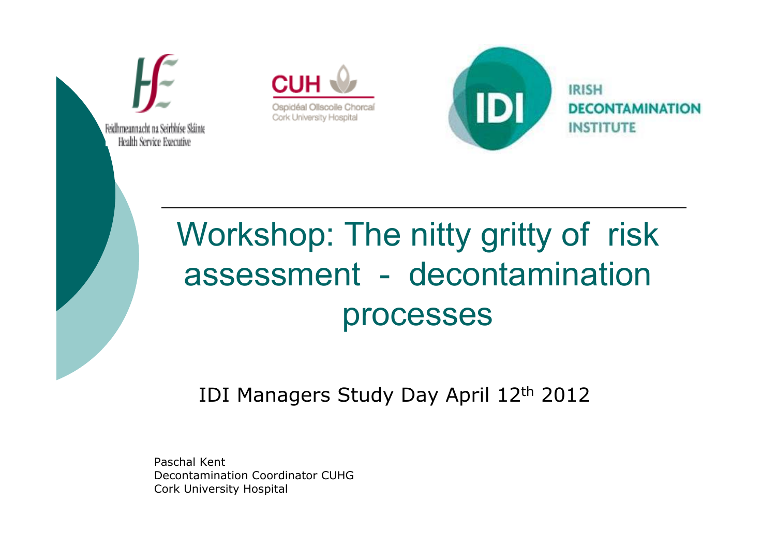

Cork University Hospital

Feidhmeannacht na Seirbhíse Sláinte Health Service Executive

IDI

**IRISH DECONTAMINATION INSTITUTE** 

# Workshop: The nitty gritty of risk assessment - decontamination processes

IDI Managers Study Day April 12th 2012

Paschal Kent Decontamination Coordinator CUHGCork University Hospital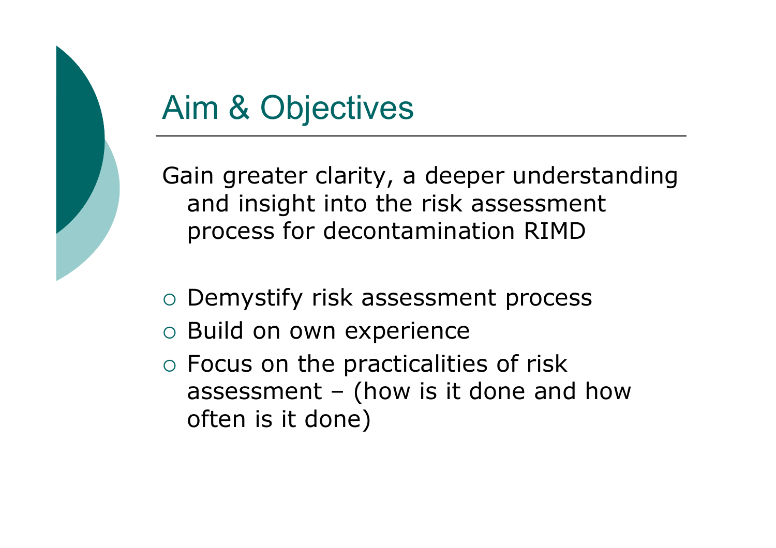# Aim & Objectives

Gain greater clarity, a deeper understanding and insight into the risk assessment process for decontamination RIMD

- o Demystify risk assessment process
- o Build on own experience
- o Focus on the practicalities of risk assessment – (how is it done and how often is it done)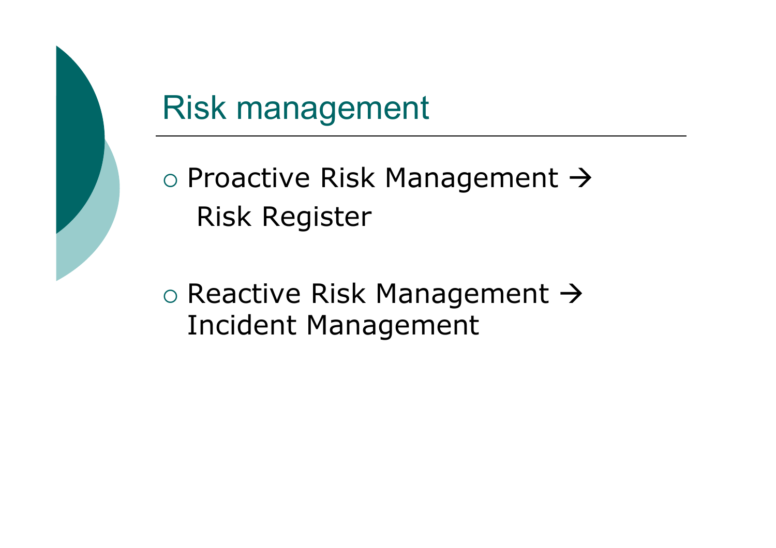

# Risk management

 $\circ$  Proactive Risk Management  $\rightarrow$ Risk Register

o Reactive Risk Management → Incident Management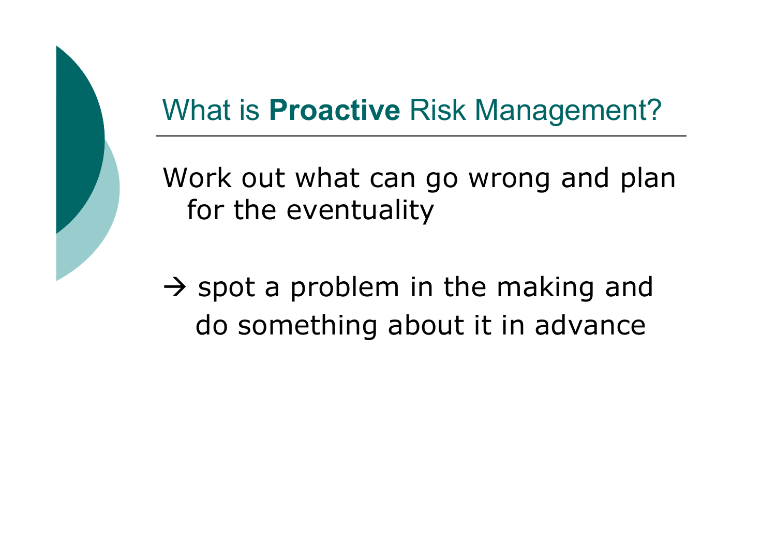# What is **Proactive** Risk Management?

Work out what can go wrong and plan for the eventuality

A spot a problem in the making and<br>de seresthing about it in advance do something about it in advance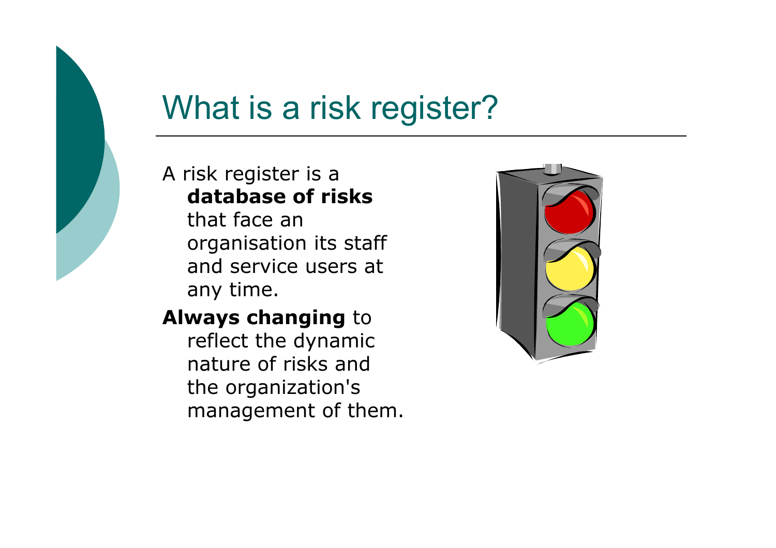# What is a risk register?

#### A risk register is a database of risks

that face an organisation its staff and service users at any time.

### **Always changing to**

reflect the dynamic nature of risks and the organization's management of them.

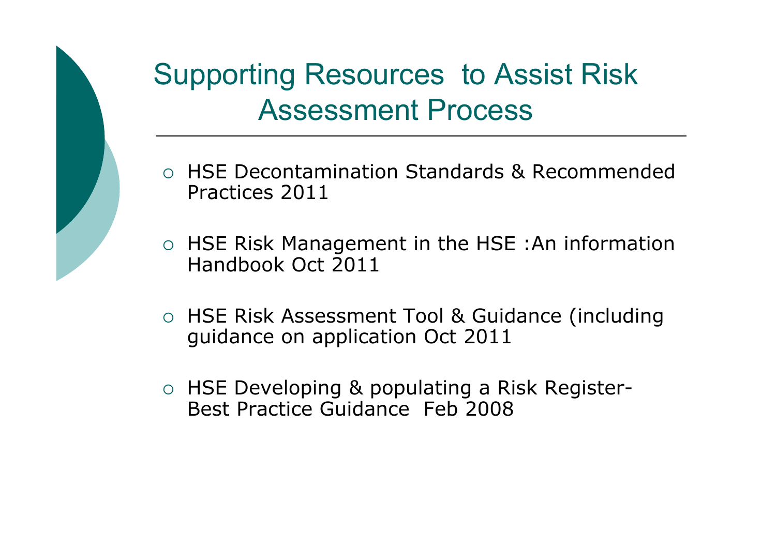

### Supporting Resources to Assist Risk Assessment Process

- HSE Decontamination Standards & Recommended Practices 2011
- HSE Risk Management in the HSE :An information Handbook Oct 2011
- o HSE Risk Assessment Tool & Guidance (including guidance on application Oct 2011
- HSE Developing & populating a Risk Register-<br>Rest Practice Cuidance, Esh 2008 Best Practice Guidance Feb 2008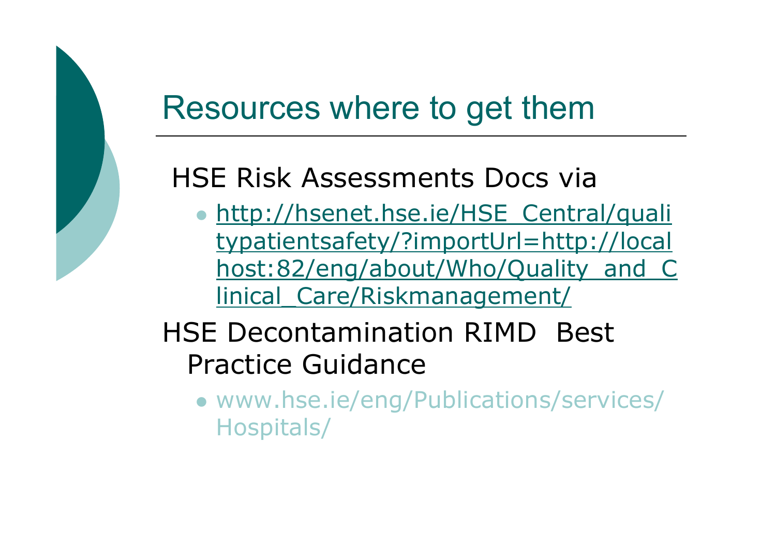### Resources where to get them

### HSE Risk Assessments Docs via

• http://hsenet.hse.ie/HSE\_Central/quali typatientsafety/?importUrl=http://localhost:82/eng/about/Who/Quality\_and\_C linical\_Care/Riskmanagement/

### HSE Decontamination RIMD Best Practice Guidance

 www.hse.ie/eng/Publications/services/ Hospitals/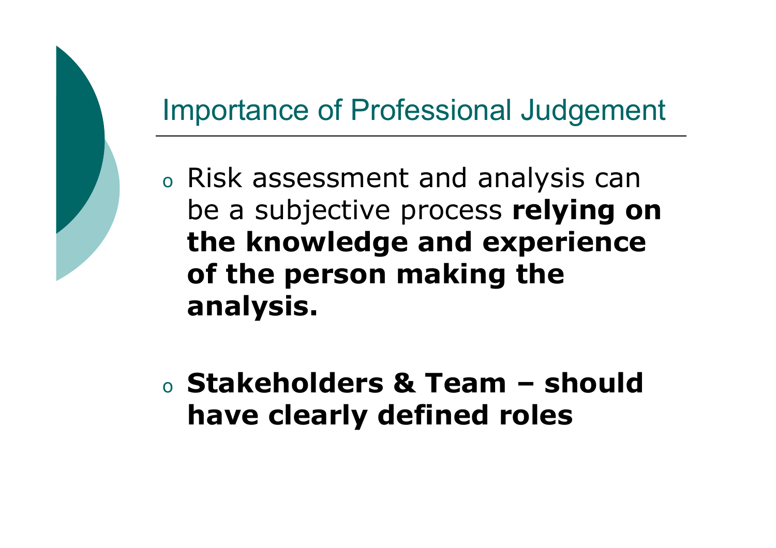### Importance of Professional Judgement

- o Risk assessment and analysis can be a subjective process relying on the knowledge and experience of the person making the analysis.
- oo Stakeholders & Team – should<br>have clearly defined roles have clearly defined roles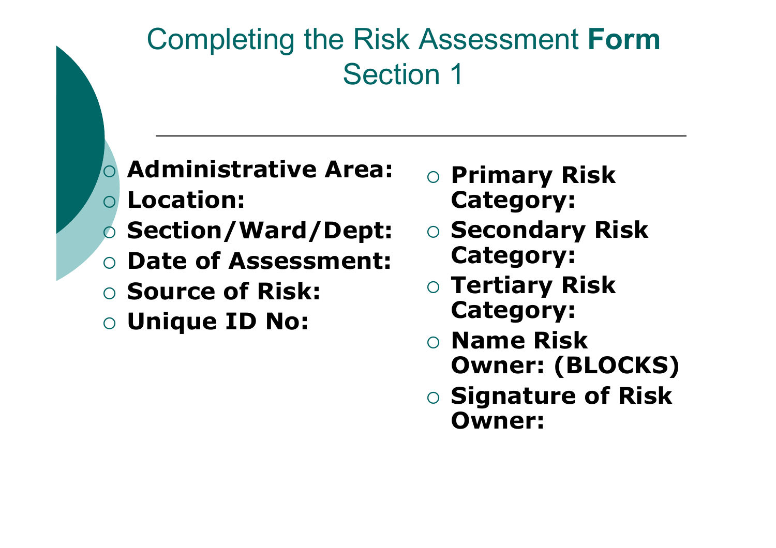### Completing the Risk Assessment FormSection 1

- $\bigcirc$  Administrative Area:  $\bigcirc$ Location:
- **Section/Ward/Dept:**
- O Date of Assessment:
- **Source of Risk:**
- $\circ$  Unique ID No:
- o Primary Risk Category:
- **Secondary Risk** Category:
- o Tertiary Risk Category:
- **O Name Risk** Owner: (BLOCKS)
- **Signature of Risk** Owner: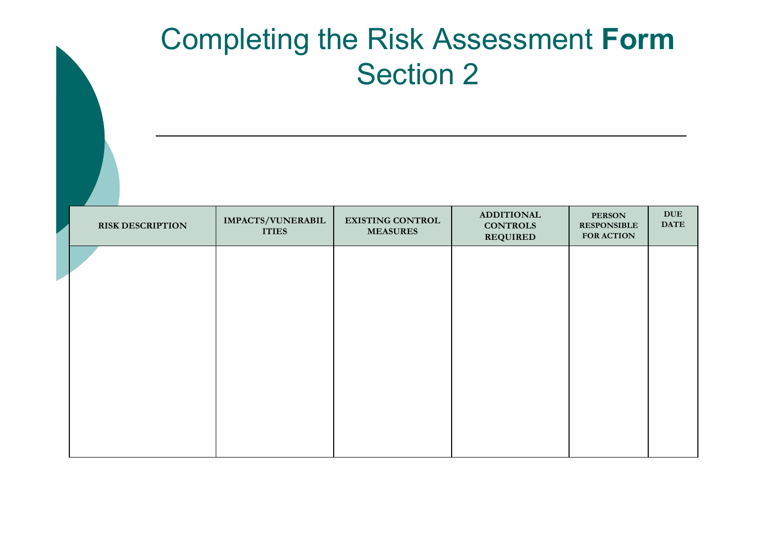### Completing the Risk Assessment FormSection 2

| <b>RISK DESCRIPTION</b> | IMPACTS/VUNERABIL<br><b>ITIES</b> | <b>EXISTING CONTROL</b><br><b>MEASURES</b> | <b>ADDITIONAL</b><br><b>CONTROLS</b><br><b>REQUIRED</b> | <b>PERSON</b><br><b>RESPONSIBLE</b><br><b>FOR ACTION</b> | $\mathbf{DUE}% _{T}=\mathbf{G}\text{, }$<br><b>DATE</b> |
|-------------------------|-----------------------------------|--------------------------------------------|---------------------------------------------------------|----------------------------------------------------------|---------------------------------------------------------|
|                         |                                   |                                            |                                                         |                                                          |                                                         |
|                         |                                   |                                            |                                                         |                                                          |                                                         |
|                         |                                   |                                            |                                                         |                                                          |                                                         |
|                         |                                   |                                            |                                                         |                                                          |                                                         |
|                         |                                   |                                            |                                                         |                                                          |                                                         |
|                         |                                   |                                            |                                                         |                                                          |                                                         |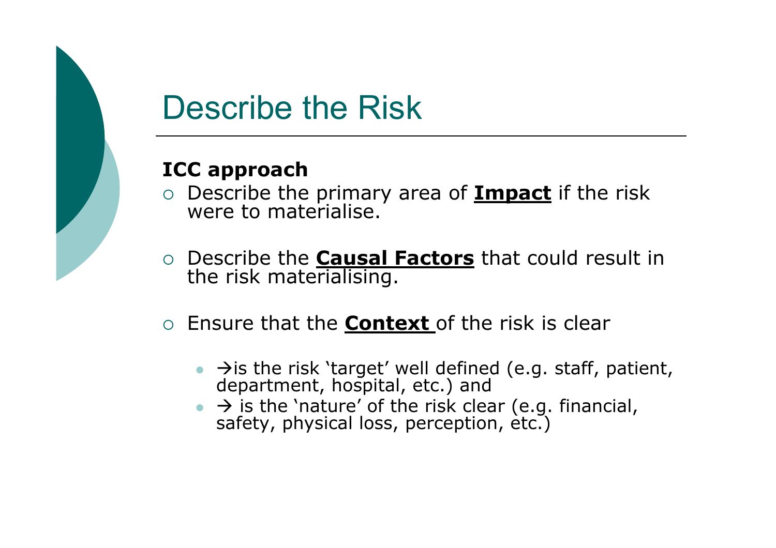

# Describe the Risk

#### ICC approach

- $\circ$  Describe the primary area of **Impact** if the risk were to materialise.
- O Describe the **Causal Factors** that could result in the risk materialising.
- $\circ$  Ensure that the **Context** of the risk is clear
	- → is the risk 'target' well defined (e.g. staff, patient, department, hospital, etc.) and
	- → is the 'nature' of the risk clear (e.g. financial, safety, physical loss, perception, etc.)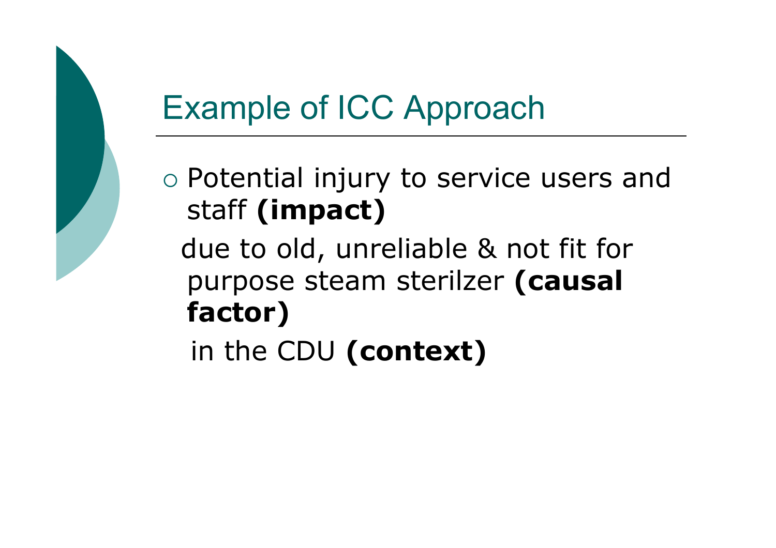# Example of ICC Approach

o Potential injury to service users and staff (impact)

due to old, unreliable & not fit for purpose steam sterilzer (causal factor)

in the CDU (context)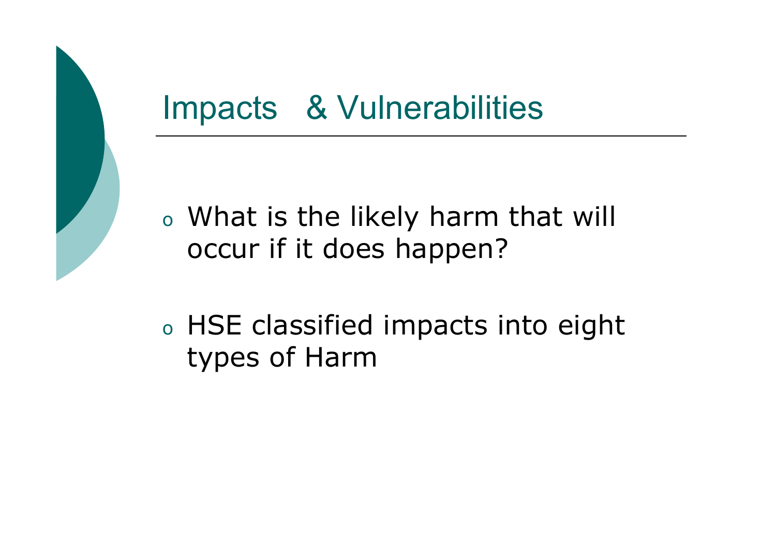### Impacts & Vulnerabilities

- o What is the likely harm that will occur if it does happen?
- o HSE classified impacts into eight types of Harm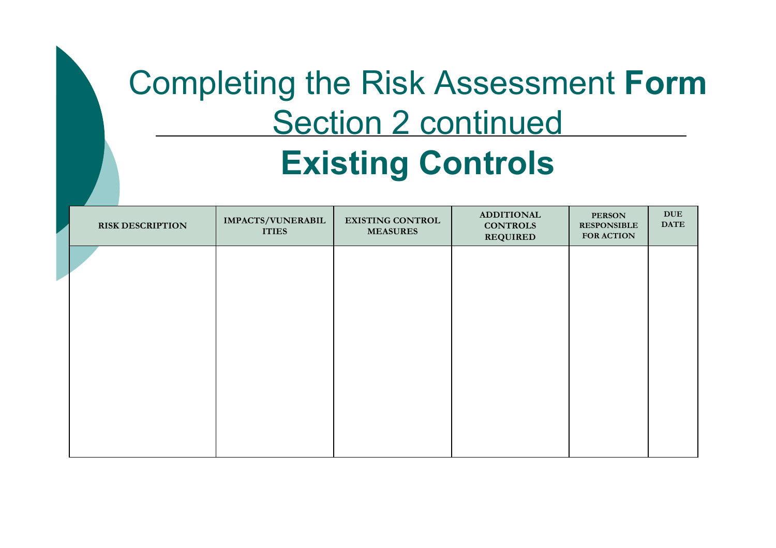# Completing the Risk Assessment FormSection 2 continued Existing Controls

| <b>RISK DESCRIPTION</b> | IMPACTS/VUNERABIL<br><b>ITIES</b> | <b>EXISTING CONTROL</b><br><b>MEASURES</b> | <b>ADDITIONAL</b><br><b>CONTROLS</b><br><b>REQUIRED</b> | <b>PERSON</b><br><b>RESPONSIBLE</b><br><b>FOR ACTION</b> | $\mathbf{D}\mathbf{U}\mathbf{E}$<br><b>DATE</b> |
|-------------------------|-----------------------------------|--------------------------------------------|---------------------------------------------------------|----------------------------------------------------------|-------------------------------------------------|
|                         |                                   |                                            |                                                         |                                                          |                                                 |
|                         |                                   |                                            |                                                         |                                                          |                                                 |
|                         |                                   |                                            |                                                         |                                                          |                                                 |
|                         |                                   |                                            |                                                         |                                                          |                                                 |
|                         |                                   |                                            |                                                         |                                                          |                                                 |
|                         |                                   |                                            |                                                         |                                                          |                                                 |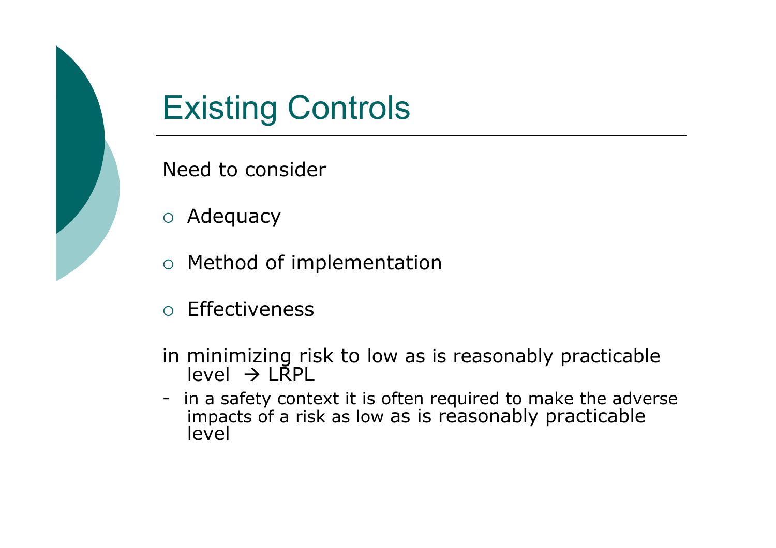

# Existing Controls

Need to consider

- o Adequacy
- o Method of implementation
- $\circ$  Effectiveness
- in minimizing risk to low as is reasonably practicable level → LRPL<br>n a safety.cont
- in a safety context it is often required to make the adverse impacts of a risk as low as is reasonably practicable level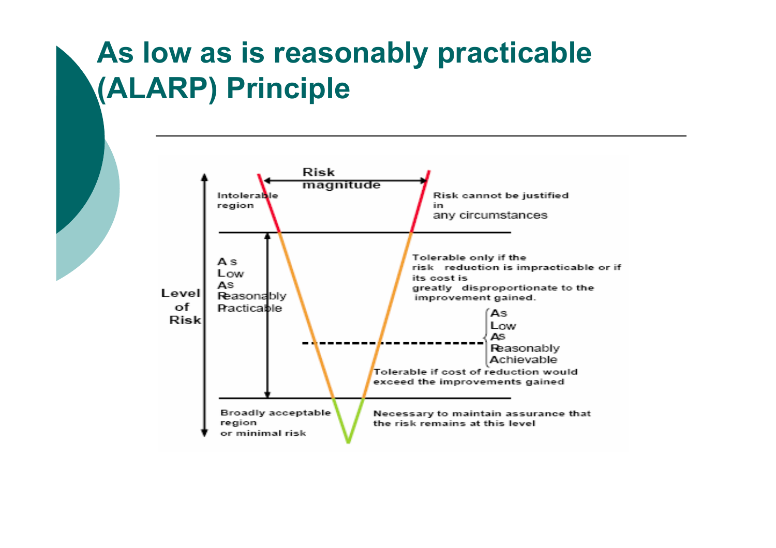### As low as is reasonably practicable (ALARP) Principle

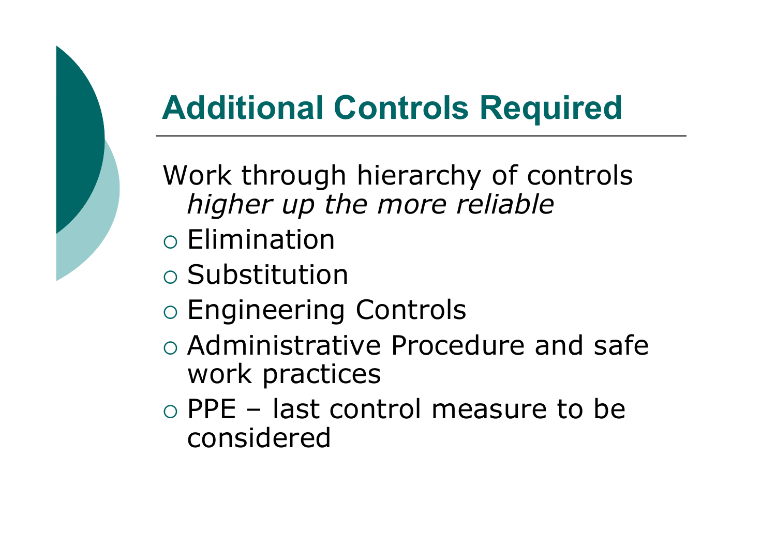# Additional Controls Required

Work through hierarchy of controls higher up the more reliable

- o Elimination
- o Substitution
- o Engineering Controls
- o Administrative Procedure and safe work practices
- o PPE last control measure to be<br>considered considered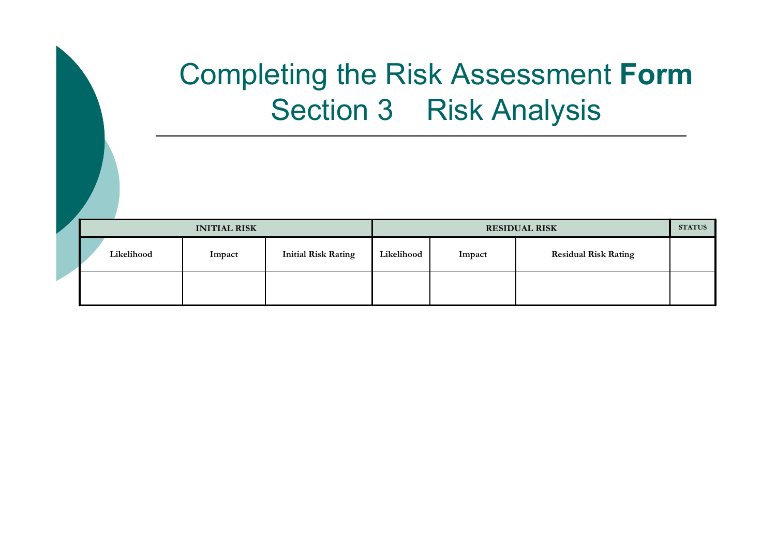### Completing the Risk Assessment FormSection 3 Risk Analysis

| <b>INITIAL RISK</b> |            |        | <b>RESIDUAL RISK</b>       |            |        |                             |  |
|---------------------|------------|--------|----------------------------|------------|--------|-----------------------------|--|
|                     | Likelihood | Impact | <b>Initial Risk Rating</b> | Likelihood | Impact | <b>Residual Risk Rating</b> |  |
|                     |            |        |                            |            |        |                             |  |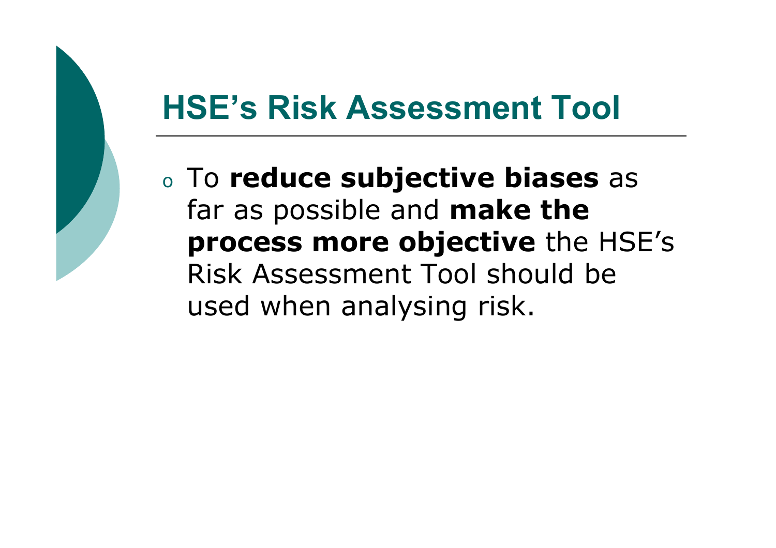# HSE's Risk Assessment Tool

oo To reduce subjective biases as far as possible and **make the** process more objective the HSE's Risk Assessment Tool should be used when analysing risk.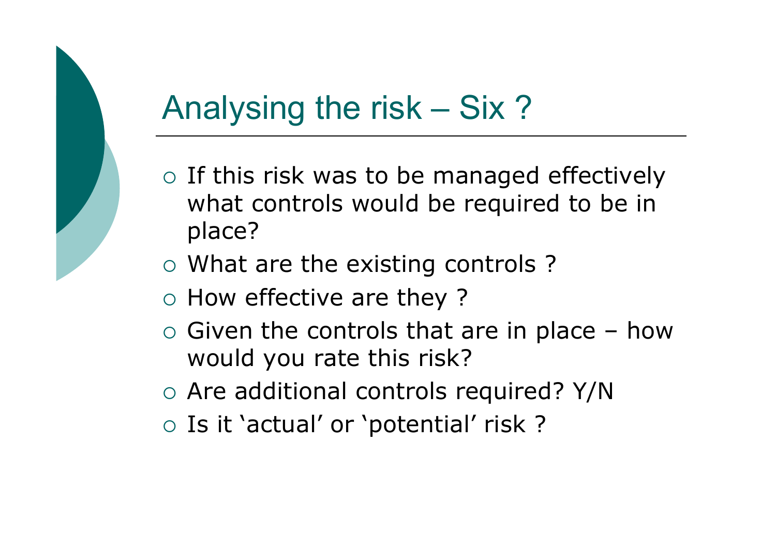# Analysing the risk – Six ?

- o If this risk was to be managed effectively what controls would be required to be in place?
- What are the existing controls ?
- $\circ$  How effective are they?
- $\circ$  Given the controls that are in place how  $\circ$  would vou rate this risk? would you rate this risk?
- Are additional controls required? Y/N
- o Is it 'actual' or 'potential' risk?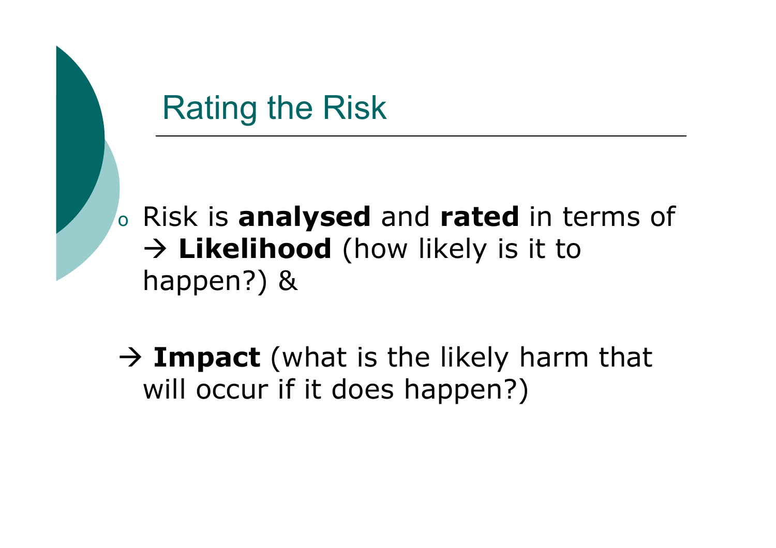### Rating the Risk

o $\circ$  Risk is analysed and rated in terms of  $\rightarrow$  **Likelihood** (how likely is it to<br>hannen?) & happen?) &

 $\rightarrow$  Impact (what is the likely harm that<br>will occur if it does hannen?) will occur if it does happen?)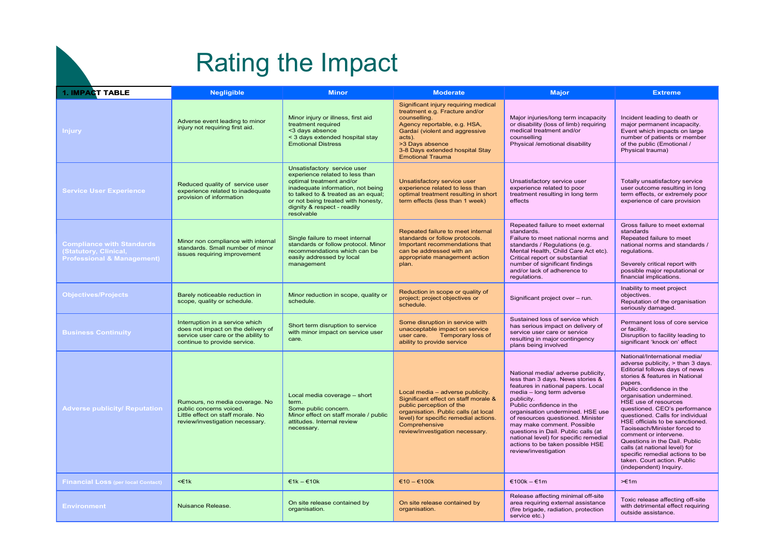### Rating the Impact

| <b>1. IMPACT TABLE</b>                                                                                   | <b>Negligible</b>                                                                                                                            | <b>Minor</b>                                                                                                                                                                                                                                              | <b>Moderate</b>                                                                                                                                                                                                                                     | <b>Major</b>                                                                                                                                                                                                                                                                                                                                                                                                                           | <b>Extreme</b>                                                                                                                                                                                                                                                                                                                                                                                                                                                                                                                                                   |
|----------------------------------------------------------------------------------------------------------|----------------------------------------------------------------------------------------------------------------------------------------------|-----------------------------------------------------------------------------------------------------------------------------------------------------------------------------------------------------------------------------------------------------------|-----------------------------------------------------------------------------------------------------------------------------------------------------------------------------------------------------------------------------------------------------|----------------------------------------------------------------------------------------------------------------------------------------------------------------------------------------------------------------------------------------------------------------------------------------------------------------------------------------------------------------------------------------------------------------------------------------|------------------------------------------------------------------------------------------------------------------------------------------------------------------------------------------------------------------------------------------------------------------------------------------------------------------------------------------------------------------------------------------------------------------------------------------------------------------------------------------------------------------------------------------------------------------|
| Injury                                                                                                   | Adverse event leading to minor<br>injury not requiring first aid.                                                                            | Minor injury or illness, first aid<br>treatment required<br><3 days absence<br>< 3 days extended hospital stay<br><b>Emotional Distress</b>                                                                                                               | Significant injury requiring medical<br>treatment e.g. Fracture and/or<br>counselling.<br>Agency reportable, e.g. HSA,<br>Gardaí (violent and aggressive<br>acts).<br>>3 Days absence<br>3-8 Days extended hospital Stay<br><b>Emotional Trauma</b> | Major injuries/long term incapacity<br>or disability (loss of limb) requiring<br>medical treatment and/or<br>counselling<br>Physical /emotional disability                                                                                                                                                                                                                                                                             | Incident leading to death or<br>major permanent incapacity.<br>Event which impacts on large<br>number of patients or member<br>of the public (Emotional /<br>Physical trauma)                                                                                                                                                                                                                                                                                                                                                                                    |
| <b>Service User Experience</b>                                                                           | Reduced quality of service user<br>experience related to inadequate<br>provision of information                                              | Unsatisfactory service user<br>experience related to less than<br>optimal treatment and/or<br>inadequate information, not being<br>to talked to & treated as an equal;<br>or not being treated with honesty,<br>dignity & respect - readily<br>resolvable | Unsatisfactory service user<br>experience related to less than<br>optimal treatment resulting in short<br>term effects (less than 1 week)                                                                                                           | Unsatisfactory service user<br>experience related to poor<br>treatment resulting in long term<br>effects                                                                                                                                                                                                                                                                                                                               | Totally unsatisfactory service<br>user outcome resulting in long<br>term effects, or extremely poor<br>experience of care provision                                                                                                                                                                                                                                                                                                                                                                                                                              |
| <b>Compliance with Standards</b><br><b>Statutory, Clinical,</b><br><b>Professional &amp; Management)</b> | Minor non compliance with internal<br>standards. Small number of minor<br>issues requiring improvement                                       | Single failure to meet internal<br>standards or follow protocol. Minor<br>recommendations which can be<br>easily addressed by local<br>management                                                                                                         | Repeated failure to meet internal<br>standards or follow protocols.<br>Important recommendations that<br>can be addressed with an<br>appropriate management action<br>plan.                                                                         | Repeated failure to meet external<br>standards.<br>Failure to meet national norms and<br>standards / Regulations (e.g.<br>Mental Health, Child Care Act etc).<br>Critical report or substantial<br>number of significant findings<br>and/or lack of adherence to<br>regulations.                                                                                                                                                       | Gross failure to meet external<br>standards<br>Repeated failure to meet<br>national norms and standards /<br>regulations.<br>Severely critical report with<br>possible major reputational or<br>financial implications.                                                                                                                                                                                                                                                                                                                                          |
| <b>Objectives/Projects</b>                                                                               | Barely noticeable reduction in<br>scope, quality or schedule.                                                                                | Minor reduction in scope, quality or<br>schedule.                                                                                                                                                                                                         | Reduction in scope or quality of<br>project; project objectives or<br>schedule.                                                                                                                                                                     | Significant project over - run.                                                                                                                                                                                                                                                                                                                                                                                                        | Inability to meet project<br>objectives.<br>Reputation of the organisation<br>seriously damaged.                                                                                                                                                                                                                                                                                                                                                                                                                                                                 |
| <b>Business Continuity</b>                                                                               | Interruption in a service which<br>does not impact on the delivery of<br>service user care or the ability to<br>continue to provide service. | Short term disruption to service<br>with minor impact on service user<br>care.                                                                                                                                                                            | Some disruption in service with<br>unacceptable impact on service<br>user care.<br>Temporary loss of<br>ability to provide service                                                                                                                  | Sustained loss of service which<br>has serious impact on delivery of<br>service user care or service<br>resulting in major contingency<br>plans being involved                                                                                                                                                                                                                                                                         | Permanent loss of core service<br>or facility.<br>Disruption to facility leading to<br>significant 'knock on' effect                                                                                                                                                                                                                                                                                                                                                                                                                                             |
| <b>Adverse publicity/ Reputation</b>                                                                     | Rumours, no media coverage. No<br>public concerns voiced.<br>Little effect on staff morale. No<br>review/investigation necessary.            | Local media coverage - short<br>term.<br>Some public concern.<br>Minor effect on staff morale / public<br>attitudes. Internal review<br>necessary.                                                                                                        | Local media - adverse publicity.<br>Significant effect on staff morale &<br>public perception of the<br>organisation. Public calls (at local<br>level) for specific remedial actions.<br>Comprehensive<br>review/investigation necessary.           | National media/ adverse publicity,<br>less than 3 days. News stories &<br>features in national papers. Local<br>media - long term adverse<br>publicity.<br>Public confidence in the<br>organisation undermined. HSE use<br>of resources questioned. Minister<br>may make comment. Possible<br>questions in Daíl. Public calls (at<br>national level) for specific remedial<br>actions to be taken possible HSE<br>review/investigation | National/International media/<br>adverse publicity, > than 3 days.<br>Editorial follows days of news<br>stories & features in National<br>papers.<br>Public confidence in the<br>organisation undermined.<br>HSE use of resources<br>questioned. CEO's performance<br>questioned. Calls for individual<br>HSE officials to be sanctioned.<br>Taoiseach/Minister forced to<br>comment or intervene.<br>Questions in the Daíl. Public<br>calls (at national level) for<br>specific remedial actions to be<br>taken. Court action. Public<br>(independent) Inquiry. |
| <b>Financial Loss (per local Contact)</b>                                                                | $<\in$ 1k                                                                                                                                    | $€1k - €10k$                                                                                                                                                                                                                                              | $€10 - €100k$                                                                                                                                                                                                                                       | €100k – €1m                                                                                                                                                                                                                                                                                                                                                                                                                            | $\equiv$ 1m                                                                                                                                                                                                                                                                                                                                                                                                                                                                                                                                                      |
| <b>Environment</b>                                                                                       | <b>Nuisance Release</b>                                                                                                                      | On site release contained by<br>organisation.                                                                                                                                                                                                             | On site release contained by<br>organisation.                                                                                                                                                                                                       | Release affecting minimal off-site<br>area requiring external assistance<br>(fire brigade, radiation, protection<br>service etc.)                                                                                                                                                                                                                                                                                                      | Toxic release affecting off-site<br>with detrimental effect requiring<br>outside assistance.                                                                                                                                                                                                                                                                                                                                                                                                                                                                     |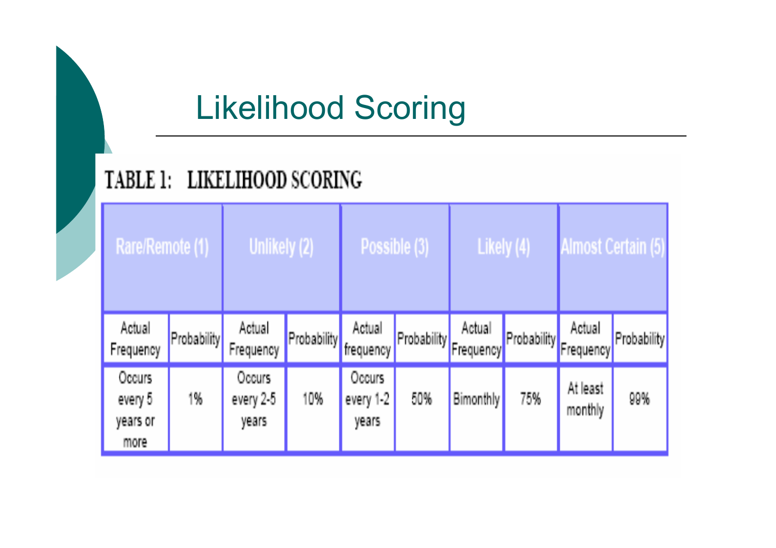# Likelihood Scoring

#### TABLE 1: LIKELIHOOD SCORING

| Rare/Remote (1)                      |             | Unlikely (2)                  |                         | Possible (3)                 |                         | Likely (4)       |             | <b>Almost Certain (5)</b>        |             |
|--------------------------------------|-------------|-------------------------------|-------------------------|------------------------------|-------------------------|------------------|-------------|----------------------------------|-------------|
| Actual<br>Frequency                  | Probability | Actual<br>Frequency           | (Probability frequency) | Actual                       | (Probability Frequency) | Actual           | Probability | Actual<br>Frequency <sup>'</sup> | Probability |
| <b>Occurs</b><br>every 5<br>years or | 1%          | Occurs.<br>every 2-5<br>years | 10%                     | Occurs<br>every 1-2<br>years | 50%                     | <b>Bimonthly</b> | 75%         | At least<br>monthly              | 99%         |
| more                                 |             |                               |                         |                              |                         |                  |             |                                  |             |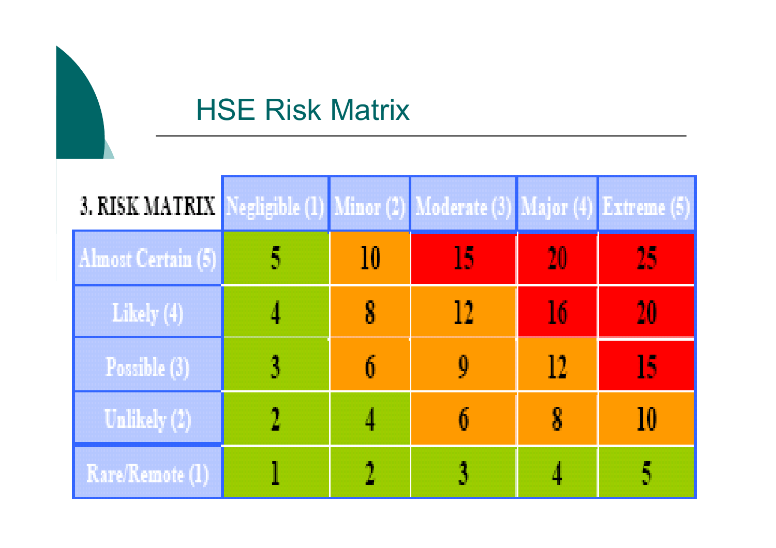### HSE Risk Matrix

| <b>3. RISK MATRIX</b> |    | Negligible (1) Minor (2) Moderate (3) Major (4) Extreme (5) |    |    |
|-----------------------|----|-------------------------------------------------------------|----|----|
| Almost Certain (5)    | 10 | 15                                                          | 20 | 25 |
| Likely (4)            |    |                                                             | 16 | 20 |
| Possible (3)          |    |                                                             | 12 | I5 |
| Unlikely (2)          |    |                                                             | 8  | IŪ |
| Rare/Remote (1)       |    |                                                             |    |    |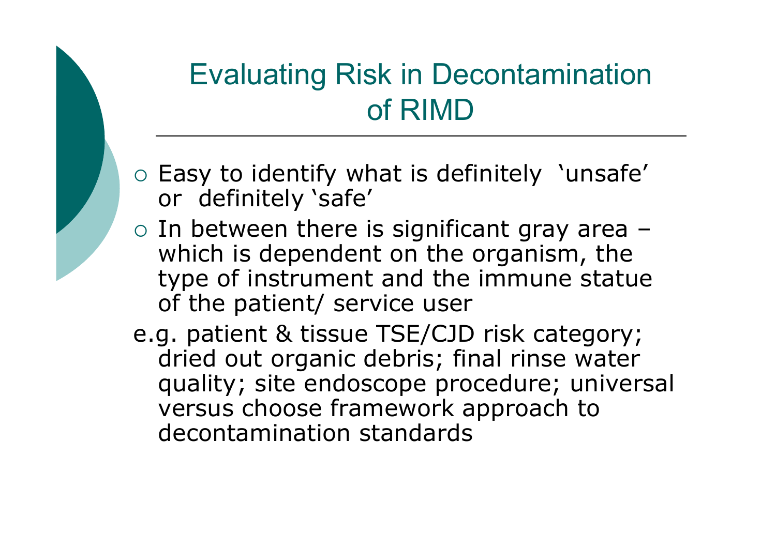### Evaluating Risk in Decontamination of RIMD

- o Easy to identify what is definitely 'unsafe' or definitely 'safe'
- o In between there is significant gray area which is dependent on the organism, the type of instrument and the immune statue of the patient/ service user
- e.g. patient & tissue TSE/CJD risk category; dried out organic debris; final rinse water quality; site endoscope procedure; universal versus choose framework approach to decontamination standards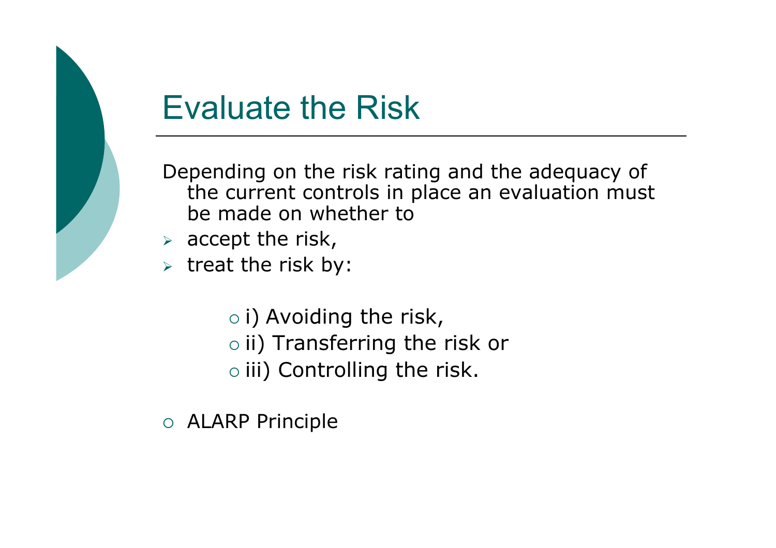

# Evaluate the Risk

Depending on the risk rating and the adequacy of the current controls in place an evaluation must be made on whether to

- $\triangleright$  accept the risk,
- $\triangleright$  treat the risk by:
	- $\circ$  i) Avoiding the risk,<br> $\circ$  ii) Transferring the
	- $\circ$  ii) Transferring the risk or
	- $\circ$  iii) Controlling the risk.
- ALARP Principle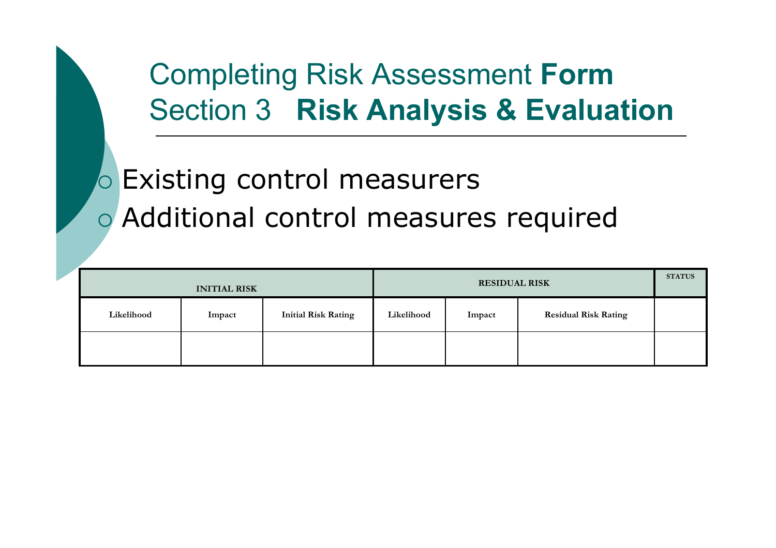### Completing Risk Assessment FormSection 3 Risk Analysis & Evaluation

# **o** Existing control measurers Additional control measures required

|            |        | <b>RESIDUAL RISK</b>       |            |        |                             |  |
|------------|--------|----------------------------|------------|--------|-----------------------------|--|
| Likelihood | Impact | <b>Initial Risk Rating</b> | Likelihood | Impact | <b>Residual Risk Rating</b> |  |
|            |        |                            |            |        |                             |  |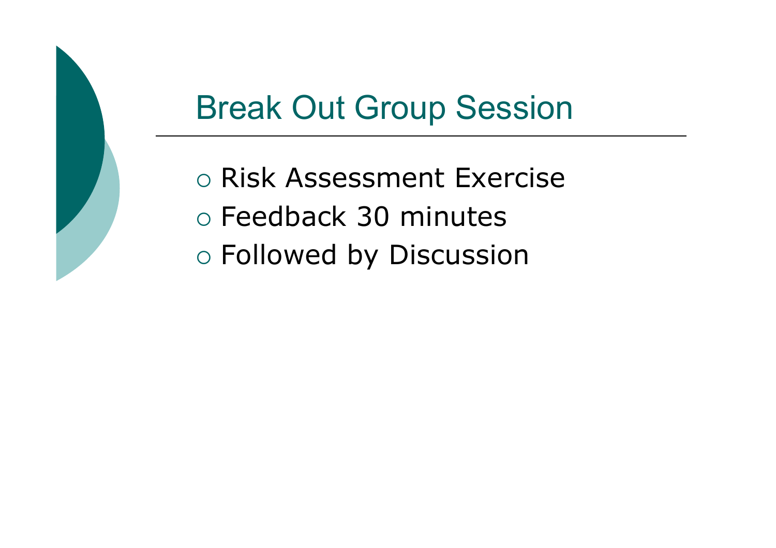# Break Out Group Session

o Risk Assessment Exercise o Feedback 30 minutes Followed by Discussion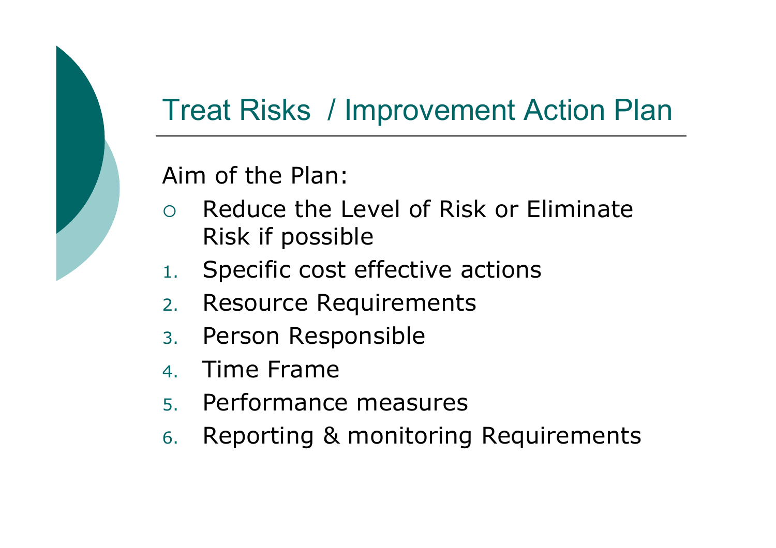### Treat Risks / Improvement Action Plan

#### Aim of the Plan:

- $\bigcap$  Reduce the Level of Risk or Eliminate Risk if possible
- . Specific cost effective actions 1.
- 2.Resource Requirements
- 3.Person Responsible
- 4.Time Frame
- 5.Performance measures
- 6.Reporting & monitoring Requirements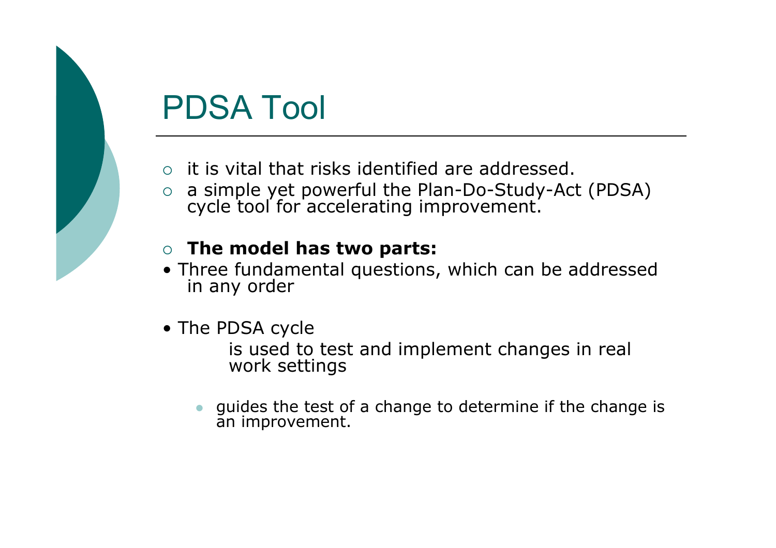# PDSA Tool

- o it is vital that risks identified are addressed.
- $\overline{O}$ a simple yet powerful the Plan-Do-Study-Act (PDSA) cycle tool for accelerating improvement.

#### $\circ$  The model has two parts:

- Three fundamental questions, which can be addressed in any order
- The PDSA cycle

is used to test and implement changes in real work settings

 $\bullet$  guides the test of a change to determine if the change is an improvement.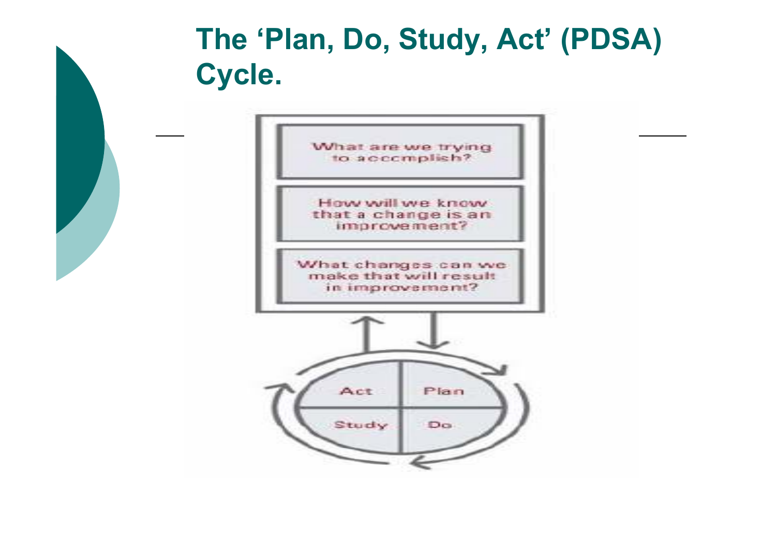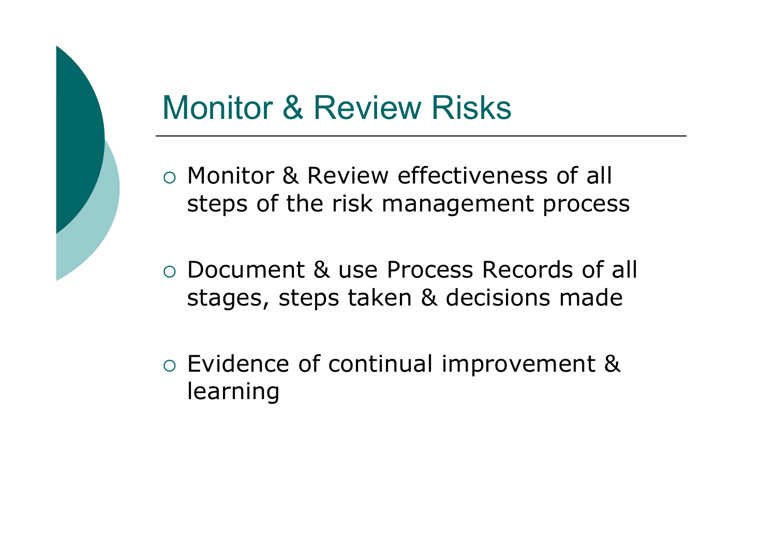# Monitor & Review Risks

- o Monitor & Review effectiveness of all steps of the risk management process
- Document & use Process Records of all stages, steps taken & decisions made
- Evidence of continual improvement & learning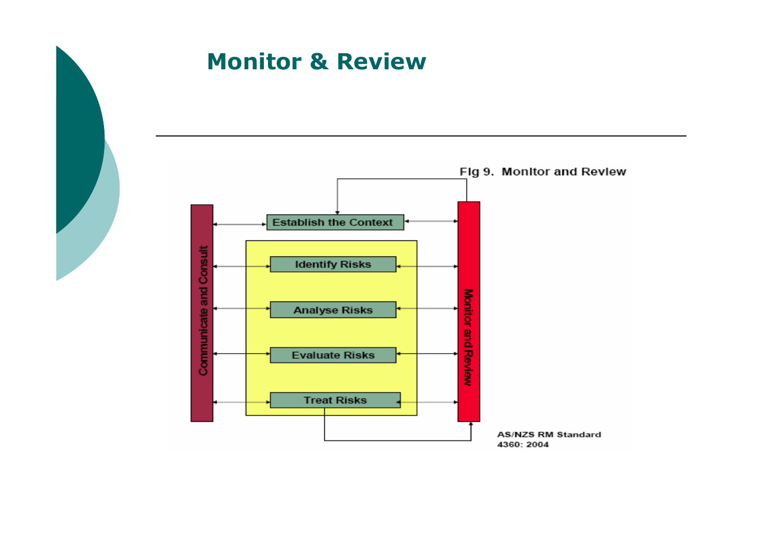#### Monitor & Review

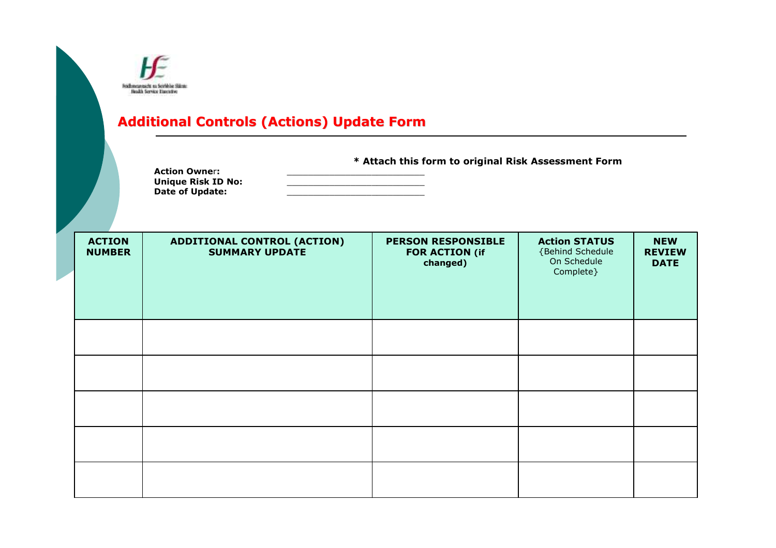|                                | Fridhmeannacht na Sciobhlae Stàinte<br><b>Health Service Executive</b><br><b>Additional Controls (Actions) Update Form</b><br>* Attach this form to original Risk Assessment Form<br><b>Action Owner:</b><br><b>Unique Risk ID No:</b><br>Date of Update: |  |                                                                |                                                                      |  |  |  |
|--------------------------------|-----------------------------------------------------------------------------------------------------------------------------------------------------------------------------------------------------------------------------------------------------------|--|----------------------------------------------------------------|----------------------------------------------------------------------|--|--|--|
| <b>ACTION</b><br><b>NUMBER</b> | <b>ADDITIONAL CONTROL (ACTION)</b><br><b>SUMMARY UPDATE</b>                                                                                                                                                                                               |  | <b>PERSON RESPONSIBLE</b><br><b>FOR ACTION (if</b><br>changed) | <b>Action STATUS</b><br>{Behind Schedule<br>On Schedule<br>Complete} |  |  |  |
|                                |                                                                                                                                                                                                                                                           |  |                                                                |                                                                      |  |  |  |
|                                |                                                                                                                                                                                                                                                           |  |                                                                |                                                                      |  |  |  |
|                                |                                                                                                                                                                                                                                                           |  |                                                                |                                                                      |  |  |  |
|                                |                                                                                                                                                                                                                                                           |  |                                                                |                                                                      |  |  |  |
|                                |                                                                                                                                                                                                                                                           |  |                                                                |                                                                      |  |  |  |

NEW REVIEW DATE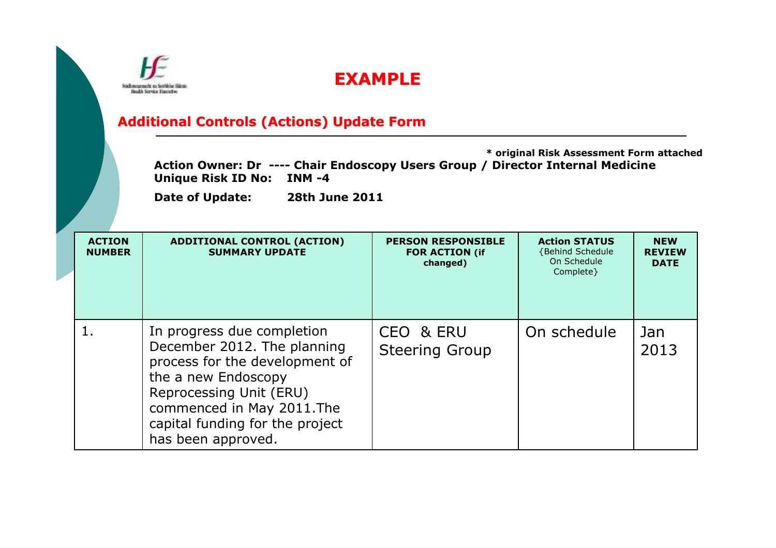

#### EXAMPLE

#### Additional Controls (Actions) Update Form

\* original Risk Assessment Form attachedAction Owner: Dr ---- Chair Endoscopy Users Group / Director Internal Medicine<br>Unique Risk ID No: INM -4

| <b>ACTION</b><br><b>NUMBER</b>                                                                                                                                                                                                             | <b>ADDITIONAL CONTROL (ACTION)</b><br><b>SUMMARY UPDATE</b> | <b>PERSON RESPONSIBLE</b><br><b>FOR ACTION (if</b><br>changed) | <b>Action STATUS</b><br>{Behind Schedule<br>On Schedule<br>Complete } | <b>NEW</b><br><b>REVIEW</b><br><b>DATE</b> |
|--------------------------------------------------------------------------------------------------------------------------------------------------------------------------------------------------------------------------------------------|-------------------------------------------------------------|----------------------------------------------------------------|-----------------------------------------------------------------------|--------------------------------------------|
| 1.<br>In progress due completion<br>December 2012. The planning<br>process for the development of<br>the a new Endoscopy<br>Reprocessing Unit (ERU)<br>commenced in May 2011. The<br>capital funding for the project<br>has been approved. |                                                             | CEO & ERU<br><b>Steering Group</b>                             | On schedule                                                           | Jan<br>2013                                |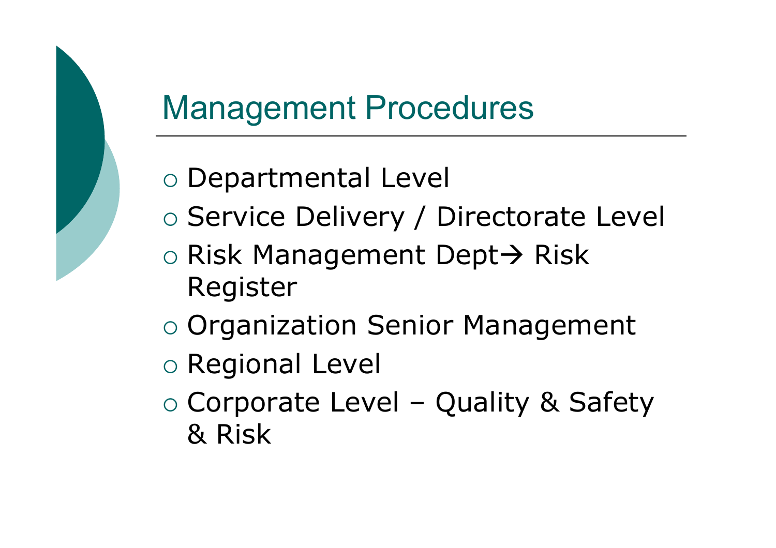# Management Procedures

- o Departmental Level
- o Service Delivery / Directorate Level
- o Risk Management Dept→ Risk<br>Register Register
- o Organization Senior Management
- o Regional Level
- o Corporate Level Quality & Safety<br>& Risk & Risk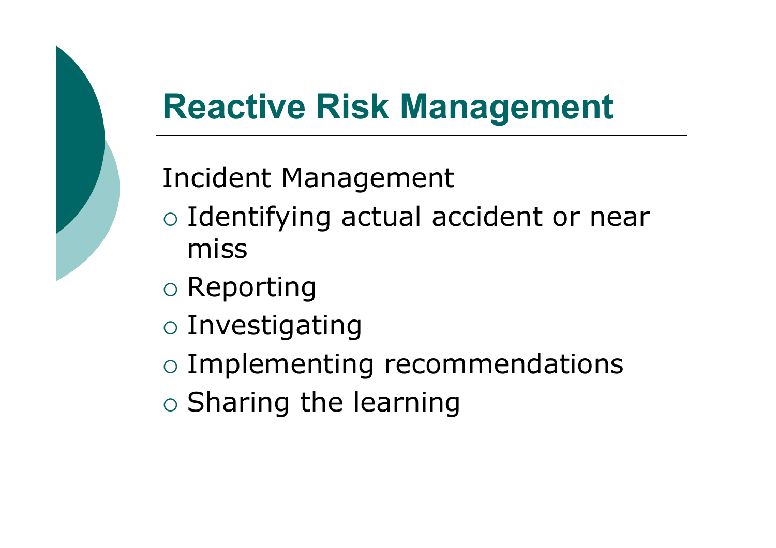# Reactive Risk Management

### Incident Management

- o Identifying actual accident or near miss
- $\circ$  Reporting
- $\circ$  Investigating
- o Implementing recommendations
- $\circ$  Sharing the learning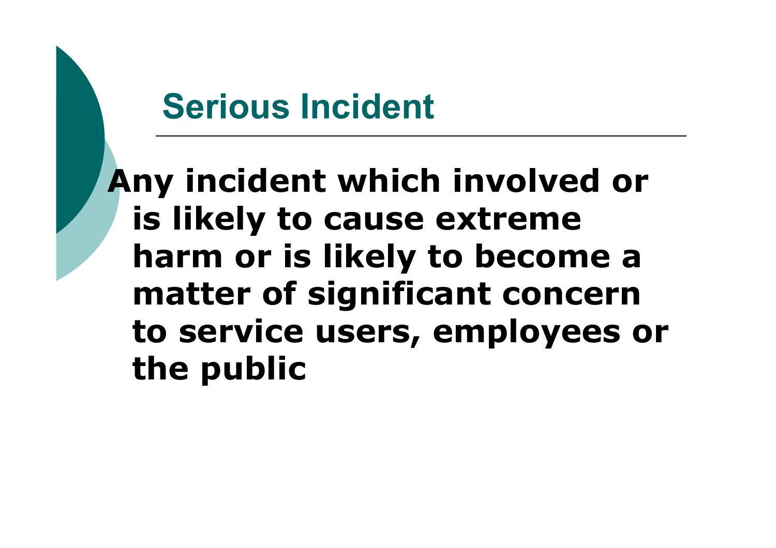# Serious Incident

Any incident which involved or is likely to cause extreme harm or is likely to become a matter of significant concern to service users, employees or the public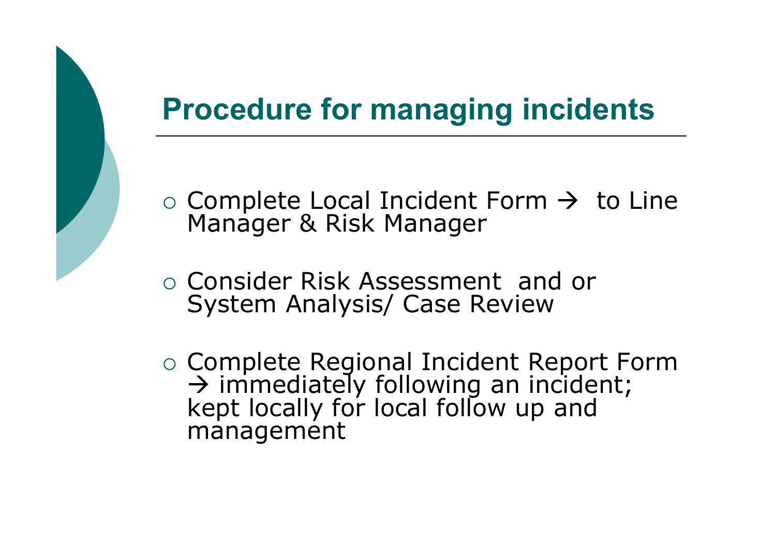### Procedure for managing incidents

- o Complete Local Incident Form → to Line<br>Manager & Risk Manager Manager & Risk Manager
- O Consider Risk Assessment and or System Analysis/ Case Review
- Complete Regional Incident Report Form  $\rightarrow$  immediately following an incident; kept locally for local follow up and management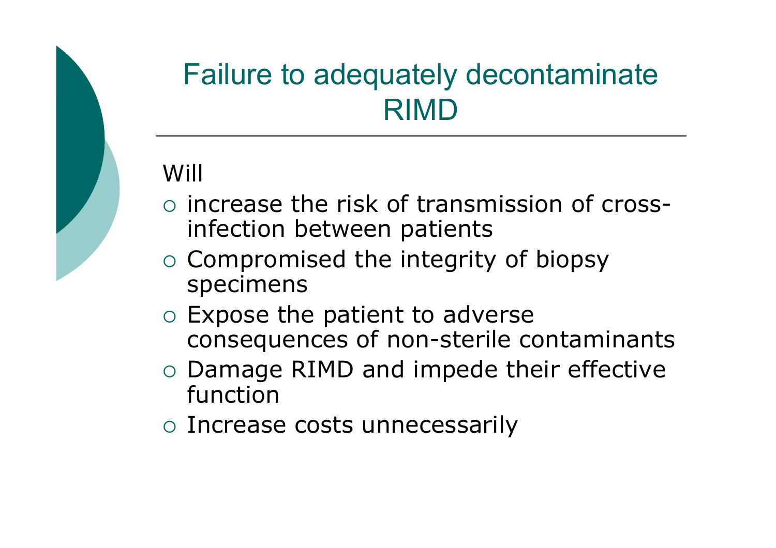### Failure to adequately decontaminate RIMD

### Will

- o increase the risk of transmission of crossinfection between patients
- o Compromised the integrity of biopsy specimens
- O Expose the patient to adverse consequences of non-sterile contaminants
- o Damage RIMD and impede their effective function
- o Increase costs unnecessarily